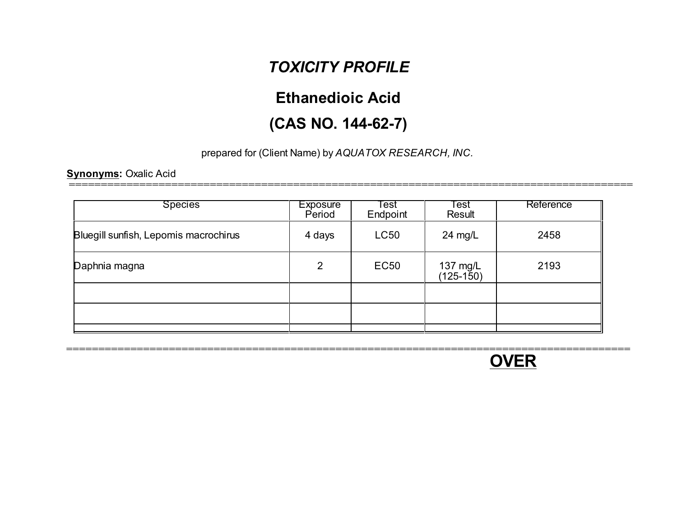# *TOXICITY PROFILE*

# **Ethanedioic Acid**

# **(CAS NO. 144-62-7)**

### prepared for (Client Name) by *AQUATOX RESEARCH, INC.*

#### **Synonyms:** Oxalic Acid

| <b>Species</b>                        | <b>Exposure</b><br>Period | ୮est<br>Endpoint | <b>Test</b><br>Result   | Reference |
|---------------------------------------|---------------------------|------------------|-------------------------|-----------|
| Bluegill sunfish, Lepomis macrochirus | 4 days                    | <b>LC50</b>      | 24 mg/L                 | 2458      |
| Daphnia magna                         | 2                         | <b>EC50</b>      | 137 mg/L<br>$(125-150)$ | 2193      |
|                                       |                           |                  |                         |           |
|                                       |                           |                  |                         |           |
|                                       |                           |                  |                         |           |



-============================